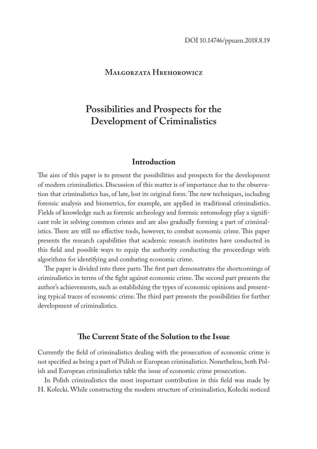# **Małgorzata Hrehorowicz**

# **Possibilities and Prospects for the Development of Criminalistics**

# **Introduction**

The aim of this paper is to present the possibilities and prospects for the development of modern criminalistics. Discussion of this matter is of importance due to the observation that criminalistics has, of late, lost its original form. The new techniques, including forensic analysis and biometrics, for example, are applied in traditional criminalistics. Fields of knowledge such as forensic archeology and forensic entomology play a significant role in solving common crimes and are also gradually forming a part of criminalistics. There are still no effective tools, however, to combat economic crime. This paper presents the research capabilities that academic research institutes have conducted in this field and possible ways to equip the authority conducting the proceedings with algorithms for identifying and combating economic crime.

The paper is divided into three parts. The first part demonstrates the shortcomings of criminalistics in terms of the fight against economic crime. The second part presents the author's achievements, such as establishing the types of economic opinions and presenting typical traces of economic crime. The third part presents the possibilities for further development of criminalistics.

# **The Current State of the Solution to the Issue**

Currently the field of criminalistics dealing with the prosecution of economic crime is not specified as being a part of Polish or European criminalistics. Nonetheless, both Polish and European criminalistics table the issue of economic crime prosecution.

In Polish criminalistics the most important contribution in this field was made by H. Kołecki. While constructing the modern structure of criminalistics, Kołecki noticed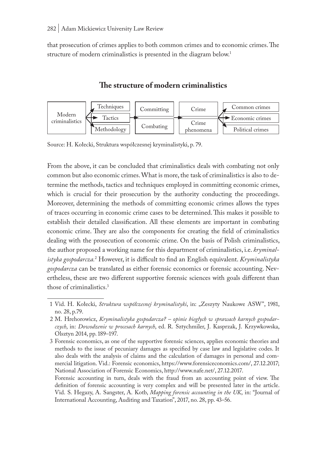that prosecution of crimes applies to both common crimes and to economic crimes. The structure of modern criminalistics is presented in the diagram below.<sup>1</sup>

#### Modern criminalistics Techniques Tactics Methodology Committing Combating Crime Crime phenomena Common crimes Economic crimes Political crimes

# **The structure of modern criminalistics**

Source: H. Kołecki, Struktura współczesnej kryminalistyki, p. 79.

From the above, it can be concluded that criminalistics deals with combating not only common but also economic crimes. What is more, the task of criminalistics is also to determine the methods, tactics and techniques employed in committing economic crimes, which is crucial for their prosecution by the authority conducting the proceedings. Moreover, determining the methods of committing economic crimes allows the types of traces occurring in economic crime cases to be determined. This makes it possible to establish their detailed classification. All these elements are important in combating economic crime. They are also the components for creating the field of criminalistics dealing with the prosecution of economic crime. On the basis of Polish criminalistics, the author proposed a working name for this department of criminalistics, i.e. *kryminalistyka gospodarcza.*<sup>2</sup> However, it is difficult to find an English equivalent. *Kryminalistyka gospodarcza* can be translated as either forensic economics or forensic accounting. Nevertheless, these are two different supportive forensic sciences with goals different than those of criminalistics.3

<sup>1</sup> Vid. H. Kołecki, *Struktura współczesnej kryminalistyki*, in: "Zeszyty Naukowe ASW", 1981, no. 28, p.79.

<sup>2</sup> M. Hrehorowicz, *Kryminalistyka gospodarcza? – opinie biegłych w sprawach karnych gospodarczych*, in: *Dowodzenie w procesach karnych*, ed. R. Sztychmiler, J. Kasprzak, J. Krzywkowska, Olsztyn 2014, pp. 189–197.

<sup>3</sup> Forensic economics, as one of the supportive forensic sciences, applies economic theories and methods to the issue of pecuniary damages as specified by case law and legislative codes. It also deals with the analysis of claims and the calculation of damages in personal and commercial litigation. Vid.: Forensic economics, https://www.forensiceconomics.com/, 27.12.2017; National Association of Forensic Economics, http://www.nafe.net/, 27.12.2017.

Forensic accounting in turn, deals with the fraud from an accounting point of view. The definition of forensic accounting is very complex and will be presented later in the article. Vid. S. Hegazy, A. Sangster, A. Kotb, *Mapping forensic accounting in the UK*, in: "Journal of International Accounting, Auditing and Taxation", 2017, no. 28, pp. 43–56.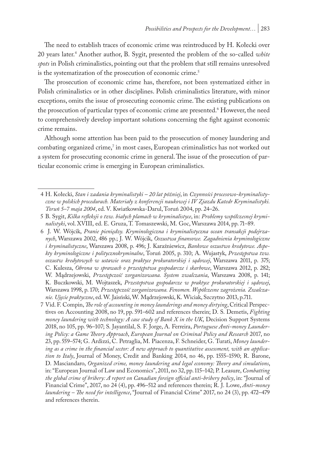The need to establish traces of economic crime was reintroduced by H. Kołecki over 20 years later.4 Another author, B. Sygit, presented the problem of the so-called *white spots* in Polish criminalistics, pointing out that the problem that still remains unresolved is the systematization of the prosecution of economic crime.<sup>5</sup>

The prosecution of economic crime has, therefore, not been systematized either in Polish criminalistics or in other disciplines. Polish criminalistics literature, with minor exceptions, omits the issue of prosecuting economic crime. The existing publications on the prosecution of particular types of economic crime are presented.6 However, the need to comprehensively develop important solutions concerning the fight against economic crime remains.

Although some attention has been paid to the prosecution of money laundering and combating organized crime,<sup>7</sup> in most cases, European criminalistics has not worked out a system for prosecuting economic crime in general. The issue of the prosecution of particular economic crime is emerging in European criminalistics.

<sup>4</sup> H. Kołecki, *Stan i zadania kryminalistyki – 20 lat później*, in *Czynności procesowo-kryminalistyczne w polskich procedurach. Materiały z konferencji naukowej i IV Zjazdu Katedr Kryminalistyki. Toruń 5–7 maja 2004*, ed. V. Kwiatkowska-Darul, Toruń 2004, pp. 24–26.

<sup>5</sup> B. Sygit, *Kilka refleksji o tzw. białych plamach w kryminalistyce*, in: *Problemy współczesnej kryminalistyki*, vol. XVIII, ed. E. Gruza, T. Tomaszewski, M. Goc, Warszawa 2014, pp. 71–89.

<sup>6</sup> J. W. Wójcik, *Pranie pieniędzy. Kryminologiczna i kryminalistyczna ocean transakcji podejrzanych*, Warszawa 2002, 486 pp.; J. W. Wójcik, *Oszustwa finansowe. Zagadnienia kryminologiczne i kryminalistyczne*, Warszawa 2008, p. 496; J. Karaźniewicz, *Bankowe oszustwo kredytowe. Aspekty kryminologiczne i politycznokryminalne*, Toruń 2005, p. 310; A. Wujastyk, *Przestępstwa tzw. oszustw kredytowych w ustawie oraz praktyce prokuratorskiej i sądowej*, Warszawa 2011, p. 375; C. Kulesza, *Obrona w sprawach o przestępstwa gospodarcze i skarbowe*, Warszawa 2012, p. 282; W. Mądrzejowski, *Przestępczość zorganizowana. System zwalczania*, Warszawa 2008, p. 141; K. Buczkowski, M. Wojtaszek, *Przestepstwa gospodarcze w praktyce prokuratorskiej i sądowej*, Warszawa 1998, p. 170; *Przestępczość zorganizowana. Fenomen. Współczesne zagrożenia. Zwalczanie. Ujęcie praktyczne*, ed. W. Jaisński, W. Mądrzejowski, K. Wiciak, Szczytno 2013, p.711.

<sup>7</sup> Vid. F. Compin, *The role of accounting in money launderings and money dirtying*, Critical Perspectives on Accounting 2008, no 19, pp. 591–602 and references therein; D. S. Demetis, *Fighting money laundering with technology: A case study of Bank X in the UK*, Decision Support Systems 2018, no 105, pp. 96–107; S. Jayantilal, S. F. Jorge, A. Ferreira, *Portuguese Anti-money Laundering Policy: a Game Theory Approach*, *European Journal on Criminal Policy and Research* 2017, no 23, pp. 559–574; G. Ardizzi, C. Petraglia, M. Piacenza, F. Schneider, G. Turati, *Money laundering as a crime in the financial sector: A new approach to quantitative assessment, with an application to Italy*, Journal of Money, Credit and Banking 2014, no 46, pp. 1555–1590; R. Barone, D. Masciandaro, *Organized crime, money laundering and legal economy: Theory and simulations*, in: "European Journal of Law and Economics", 2011, no 32, pp. 115–142; P. Leasure, *Combatting the global crime of bribery: A report on Canadian foreign official anti-bribery policy*, in: "Journal of Financial Crime", 2017, no 24 (4), pp. 496–512 and references therein; R. J. Lowe, *Anti-money laundering – The need for intelligence*, "Journal of Financial Crime" 2017, no 24 (3), pp. 472–479 and references therein.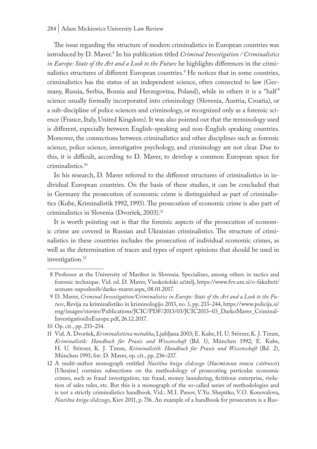The issue regarding the structure of modern criminalistics in European countries was introduced by D. Maver.8 In his publication titled *Criminal Investigation / Criminalistics in Europe: State of the Art and a Look to the Future* he highlights differences in the criminalistics structures of different European countries.<sup>9</sup> He notices that in some countries, criminalistics has the status of an independent science, often connected to law (Germany, Russia, Serbia, Bosnia and Herzegovina, Poland), while in others it is a "half" science usually formally incorporated into criminology (Slovenia, Austria, Croatia), or a sub-discipline of police sciences and criminology, or recognized only as a forensic science (France, Italy, United Kingdom). It was also pointed out that the terminology used is different, especially between English-speaking and non-English speaking countries. Moreover, the connections between criminalistics and other disciplines such as forensic science, police science, investigative psychology, and criminology are not clear. Due to this, it is difficult, according to D. Maver, to develop a common European space for criminalistics.10

In his research, D. Maver referred to the different structures of criminalistics in individual European countries. On the basis of these studies, it can be concluded that in Germany the prosecution of economic crime is distinguished as part of criminalistics (Kube, Kriminalistik 1992, 1993). The prosecution of economic crime is also part of criminalistics in Slovenia (Dvoršek, 2003).<sup>11</sup>

It is worth pointing out is that the forensic aspects of the prosecution of economic crime are covered in Russian and Ukrainian criminalistics. The structure of criminalistics in these countries includes the prosecution of individual economic crimes, as well as the determination of traces and types of expert opinions that should be used in investigation.<sup>12</sup>

<sup>8</sup> Professor at the University of Maribor in Slovenia. Specializes, among others in tactics and forensic technique. Vid. ed. D. Maver, Visokošolski učitelj, https://www.fvv.um.si/o-fakulteti/ seznam-zaposlenih/darko-maver.aspx, 08.01.2017.

<sup>9</sup> D. Maver, *Criminal Investigation/Criminalistics in Europe: State of the Art and a Look to the Future*, Revija za kriminalistiko in kriminologijo 2013, no. 3, pp. 233–244, https://www.policija.si/ eng/images/stories/Publications/JCIC/PDF/2013/03/JCIC2013–03\_DarkoMaver\_Criminal-InvestigationInEurope.pdf, 26.12.2017.

<sup>10</sup> Op. cit., pp. 233–234.

<sup>11</sup> Vid. A. Dvoršek, *Kriminalistična metodika*, Ljubljana 2003; E. Kube, H. U. Störzer, K. J. Timm, *Kriminalistik: Handbuch für Praxis und Wissenschaft* (Bd. 1), München 1992; E. Kube, H. U. Störzer, K. J. Timm, *Kriminalistik: Handbuch für Praxis und Wissenschaft* (Bd. 2), München 1993, for: D. Maver, op. cit., pp. 236–237.

<sup>12</sup> A multi-author monograph entitled *Nastilna kniga slidczogo* (*Настільна книга слідчого*) [Ukraine] contains subsections on the methodology of prosecuting particular economic crimes, such as fraud investigation, tax fraud, money laundering, fictitious enterprise, violation of sales rules, etc. But this is a monograph of the so-called series of methodologies and is not a strictly criminalistics handbook. Vid.: M.I. Panov, V.Yu. Shepitko, V.O. Konovalova, *Nastilna kniga slidczogo*, Kiev 2011, p. 736. An example of a handbook for prosecutors is a Rus-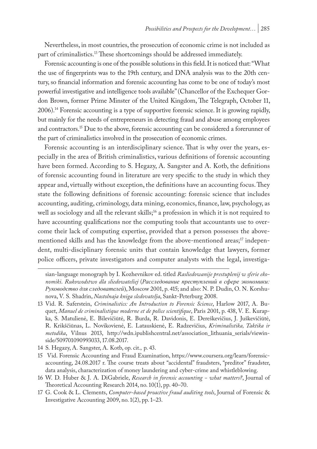Nevertheless, in most countries, the prosecution of economic crime is not included as part of criminalistics.<sup>13</sup> These shortcomings should be addressed immediately.

Forensic accounting is one of the possible solutions in this field. It is noticed that: "What the use of fingerprints was to the 19th century, and DNA analysis was to the 20th century, so financial information and forensic accounting has come to be one of today's most powerful investigative and intelligence tools available" (Chancellor of the Exchequer Gordon Brown, former Prime Minster of the United Kingdom, The Telegraph, October 11, 2006).14 Forensic accounting is a type of supportive forensic science. It is growing rapidly, but mainly for the needs of entrepreneurs in detecting fraud and abuse among employees and contractors.<sup>15</sup> Due to the above, forensic accounting can be considered a forerunner of the part of criminalistics involved in the prosecution of economic crimes.

Forensic accounting is an interdisciplinary science. That is why over the years, especially in the area of British criminalistics, various definitions of forensic accounting have been formed. According to S. Hegazy, A. Sangster and A. Kotb, the definitions of forensic accounting found in literature are very specific to the study in which they appear and, virtually without exception, the definitions have an accounting focus. They state the following definitions of forensic accounting: forensic science that includes accounting, auditing, criminology, data mining, economics, finance, law, psychology, as well as sociology and all the relevant skills;<sup>16</sup> a profession in which it is not required to have accounting qualifications nor the computing tools that accountants use to overcome their lack of computing expertise, provided that a person possesses the abovementioned skills and has the knowledge from the above-mentioned areas;<sup>17</sup> independent, multi-disciplinary forensic units that contain knowledge that lawyers, former police officers, private investigators and computer analysts with the legal, investiga-

14 S. Hegazy, A. Sangster, A. Kotb, op. cit.*,* p. 43.

16 W. D. Huber & J. A. DiGabriele, *Research in forensic accounting − what matters?*, Journal of Theoretical Accounting Research 2014, no. 10(1), pp. 40–70.

sian-language monograph by I. Kozhevnikov ed. titled *Rasliedowanije prestuplenij w sferie ekonomiki*. *Rukowodstwo dla sliedowateliej* (*Расследование преступлений в сфере экономики: Руководство для следователей*), Moscow 2001, p. 415; and also: N. P. Dudin, O. N. Korshunova, V. S. Shadrin, *Nastolnaja kniga sledovatelja*, Sankt-Peterburg 2008.

<sup>13</sup> Vid. R. Saferstein, *Criminalistics: An Introduction to Forensic Science*, Harlow 2017, A. Buquet, *Manuel de criminalistique moderne et de police scientifique*, Paris 2001, p. 438, V. E. Kurapka, S. Matulienė, E. Bilevičiūtė, R. Burda, R. Davidonis, E. Dereškevičius, J. Juškevičiūtė, R. Krikščiūnas, L. Novikovienė, E. Latauskienė, E. Radzevičius, *Kriminalistika, Taktika ir metodika*, Vilnus 2013, http://wdn.ipublishcentral.net/association\_lithuania\_serials/viewinside/509701090993033, 17.08.2017.

<sup>15</sup> Vid. Forensic Accounting and Fraud Examination, https://www.coursera.org/learn/forensicaccounting, 24.08.2017 r. The course treats about "accidental" fraudsters, "preditor" fraudster, data analysis, characterization of money laundering and cyber-crime and whistleblowing.

<sup>17</sup> G. Cook & L. Clements, *Computer-based proactive fraud auditing tools*, Journal of Forensic & Investigative Accounting 2009, no. 1(2), pp. 1–23.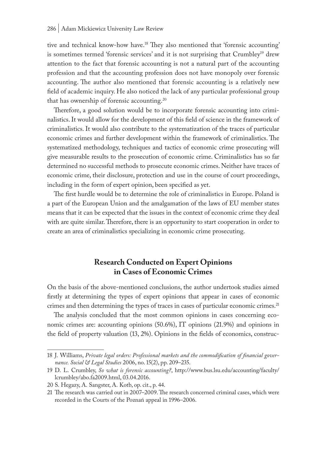tive and technical know-how have.18 They also mentioned that 'forensic accounting' is sometimes termed 'forensic services' and it is not surprising that Crumbley<sup>19</sup> drew attention to the fact that forensic accounting is not a natural part of the accounting profession and that the accounting profession does not have monopoly over forensic accounting. The author also mentioned that forensic accounting is a relatively new field of academic inquiry. He also noticed the lack of any particular professional group that has ownership of forensic accounting.<sup>20</sup>

Therefore, a good solution would be to incorporate forensic accounting into criminalistics. It would allow for the development of this field of science in the framework of criminalistics. It would also contribute to the systematization of the traces of particular economic crimes and further development within the framework of criminalistics. The systematized methodology, techniques and tactics of economic crime prosecuting will give measurable results to the prosecution of economic crime. Criminalistics has so far determined no successful methods to prosecute economic crimes. Neither have traces of economic crime, their disclosure, protection and use in the course of court proceedings, including in the form of expert opinion, been specified as yet.

The first hurdle would be to determine the role of criminalistics in Europe. Poland is a part of the European Union and the amalgamation of the laws of EU member states means that it can be expected that the issues in the context of economic crime they deal with are quite similar. Therefore, there is an opportunity to start cooperation in order to create an area of criminalistics specializing in economic crime prosecuting.

# **Research Conducted on Expert Opinions in Cases of Economic Crimes**

On the basis of the above-mentioned conclusions, the author undertook studies aimed firstly at determining the types of expert opinions that appear in cases of economic crimes and then determining the types of traces in cases of particular economic crimes.<sup>21</sup>

The analysis concluded that the most common opinions in cases concerning economic crimes are: accounting opinions (50.6%), IT opinions (21.9%) and opinions in the field of property valuation (13, 2%). Opinions in the fields of economics, construc-

<sup>18</sup> J. Williams, *Private legal orders: Professional markets and the commodification of financial governance. Social & Legal Studies* 2006, no. 15(2), pp. 209–235.

<sup>19</sup> D. L. Crumbley, *So what is forensic accounting?*, http://www.bus.lsu.edu/accounting/faculty/ lcrumbley/abo.fa2009.html, 03.04.2016.

<sup>20</sup> S. Hegazy, A. Sangster, A. Kotb, op. cit., p. 44.

<sup>21</sup> The research was carried out in 2007–2009. The research concerned criminal cases, which were recorded in the Courts of the Poznań appeal in 1996–2006.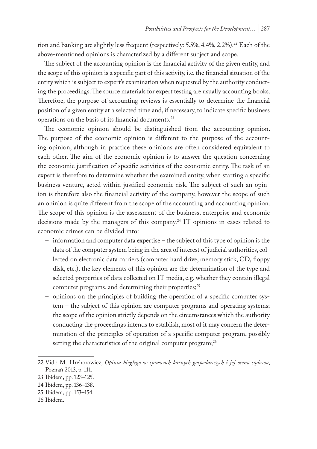tion and banking are slightly less frequent (respectively:  $5.5\%, 4.4\%, 2.2\%$ ).<sup>22</sup> Each of the above-mentioned opinions is characterized by a different subject and scope.

The subject of the accounting opinion is the financial activity of the given entity, and the scope of this opinion is a specific part of this activity, i.e. the financial situation of the entity which is subject to expert's examination when requested by the authority conducting the proceedings. The source materials for expert testing are usually accounting books. Therefore, the purpose of accounting reviews is essentially to determine the financial position of a given entity at a selected time and, if necessary, to indicate specific business operations on the basis of its financial documents.23

The economic opinion should be distinguished from the accounting opinion. The purpose of the economic opinion is different to the purpose of the accounting opinion, although in practice these opinions are often considered equivalent to each other. The aim of the economic opinion is to answer the question concerning the economic justification of specific activities of the economic entity. The task of an expert is therefore to determine whether the examined entity, when starting a specific business venture, acted within justified economic risk. The subject of such an opinion is therefore also the financial activity of the company, however the scope of such an opinion is quite different from the scope of the accounting and accounting opinion. The scope of this opinion is the assessment of the business, enterprise and economic decisions made by the managers of this company.<sup>24</sup> IT opinions in cases related to economic crimes can be divided into:

- information and computer data expertise the subject of this type of opinion is the data of the computer system being in the area of interest of judicial authorities, collected on electronic data carriers (computer hard drive, memory stick, CD, floppy disk, etc.); the key elements of this opinion are the determination of the type and selected properties of data collected on IT media, e.g. whether they contain illegal computer programs, and determining their properties;<sup>25</sup>
- opinions on the principles of building the operation of a specific computer system – the subject of this opinion are computer programs and operating systems; the scope of the opinion strictly depends on the circumstances which the authority conducting the proceedings intends to establish, most of it may concern the determination of the principles of operation of a specific computer program, possibly setting the characteristics of the original computer program;<sup>26</sup>

<sup>22</sup> Vid.: M. Hrehorowicz, *Opinia biegłego w sprawach karnych gospodarczych i jej ocena sądowa*, Poznań 2013, p. 111.

<sup>23</sup> Ibidem, pp. 123–125.

<sup>24</sup> Ibidem, pp. 136–138.

<sup>25</sup> Ibidem, pp. 153–154.

<sup>26</sup> Ibidem.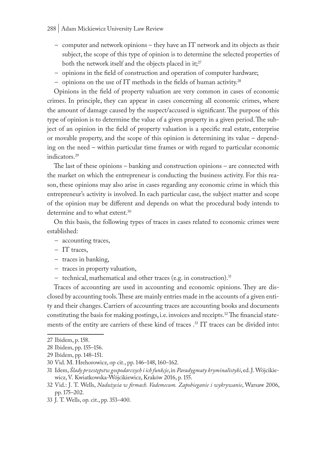#### 288 | Adam Mickiewicz University Law Review

- computer and network opinions they have an IT network and its objects as their subject, the scope of this type of opinion is to determine the selected properties of both the network itself and the objects placed in it;<sup>27</sup>
- opinions in the field of construction and operation of computer hardware;
- opinions on the use of IT methods in the fields of human activity.<sup>28</sup>

Opinions in the field of property valuation are very common in cases of economic crimes. In principle, they can appear in cases concerning all economic crimes, where the amount of damage caused by the suspect/accused is significant. The purpose of this type of opinion is to determine the value of a given property in a given period. The subject of an opinion in the field of property valuation is a specific real estate, enterprise or movable property, and the scope of this opinion is determining its value – depending on the need – within particular time frames or with regard to particular economic indicators.29

The last of these opinions – banking and construction opinions – are connected with the market on which the entrepreneur is conducting the business activity. For this reason, these opinions may also arise in cases regarding any economic crime in which this entrepreneur's activity is involved. In each particular case, the subject matter and scope of the opinion may be different and depends on what the procedural body intends to determine and to what extent.30

On this basis, the following types of traces in cases related to economic crimes were established:

- accounting traces,
- IT traces,
- traces in banking,
- traces in property valuation,
- technical, mathematical and other traces (e.g. in construction).31

Traces of accounting are used in accounting and economic opinions. They are disclosed by accounting tools. These are mainly entries made in the accounts of a given entity and their changes. Carriers of accounting traces are accounting books and documents constituting the basis for making postings, i.e. invoices and receipts.<sup>32</sup> The financial statements of the entity are carriers of these kind of traces .33 IT traces can be divided into:

<sup>27</sup> Ibidem, p. 158.

<sup>28</sup> Ibidem, pp. 155–156.

<sup>29</sup> Ibidem, pp. 148–151.

<sup>30</sup> Vid. M. Hrehorowicz, op cit., pp. 146–148, 160–162.

<sup>31</sup> Idem, *Ślady przestępstw gospodarczych i ich funkcje*, in *Paradygmaty kryminalistyki*, ed. J. Wójcikiewicz, V. Kwiatkowska-Wójcikiewicz, Kraków 2016, p. 155.

<sup>32</sup> Vid.: J. T. Wells, *Nadużycia w firmach. Vademecum. Zapobieganie i wykrywanie*, Warsaw 2006, pp. 175–202.

<sup>33</sup> J. T. Wells, op. cit., pp. 353–400.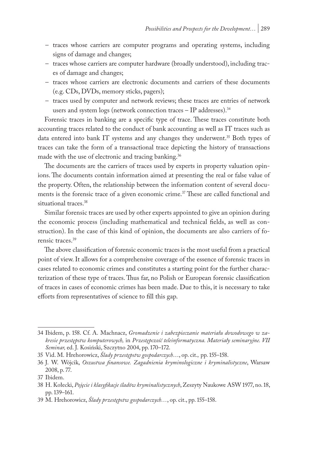- traces whose carriers are computer programs and operating systems, including signs of damage and changes;
- traces whose carriers are computer hardware (broadly understood), including traces of damage and changes;
- traces whose carriers are electronic documents and carriers of these documents (e.g. CDs, DVDs, memory sticks, pagers);
- traces used by computer and network reviews; these traces are entries of network users and system logs (network connection traces – IP addresses).34

Forensic traces in banking are a specific type of trace. These traces constitute both accounting traces related to the conduct of bank accounting as well as IT traces such as data entered into bank IT systems and any changes they underwent.<sup>35</sup> Both types of traces can take the form of a transactional trace depicting the history of transactions made with the use of electronic and tracing banking.<sup>36</sup>

The documents are the carriers of traces used by experts in property valuation opinions. The documents contain information aimed at presenting the real or false value of the property. Often, the relationship between the information content of several documents is the forensic trace of a given economic crime.<sup>37</sup> These are called functional and situational traces.<sup>38</sup>

Similar forensic traces are used by other experts appointed to give an opinion during the economic process (including mathematical and technical fields, as well as construction). In the case of this kind of opinion, the documents are also carriers of forensic traces.39

The above classification of forensic economic traces is the most useful from a practical point of view. It allows for a comprehensive coverage of the essence of forensic traces in cases related to economic crimes and constitutes a starting point for the further characterization of these type of traces. Thus far, no Polish or European forensic classification of traces in cases of economic crimes has been made. Due to this, it is necessary to take efforts from representatives of science to fill this gap.

<sup>34</sup> Ibidem, p. 158. Cf. A. Machnacz, *Gromadzenie i zabezpieczanie materiału dowodowego w zakresie przestępstw komputerowych,* in *Przestępczość teleinformatyczna. Materiały seminaryjne. VII Seminar,* ed. J. Kosiński, Szczytno 2004, pp. 170–172.

<sup>35</sup> Vid. M. Hrehorowicz, *Ślady przestępstw gospodarczych*…, op. cit.*,* pp. 155–158.

<sup>36</sup> J. W. Wójcik, *Oszustwa finansowe. Zagadnienia kryminologiczne i kryminalistyczne*, Warsaw 2008, p. 77.

<sup>37</sup> Ibidem.

<sup>38</sup> H. Kołecki, *Pojęcie i klasyfikacje śladów kryminalistycznych*, Zeszyty Naukowe ASW 1977, no. 18, pp. 139–161.

<sup>39</sup> M. Hrehorowicz, *Ślady przestępstw gospodarczych…*, op. cit., pp. 155–158.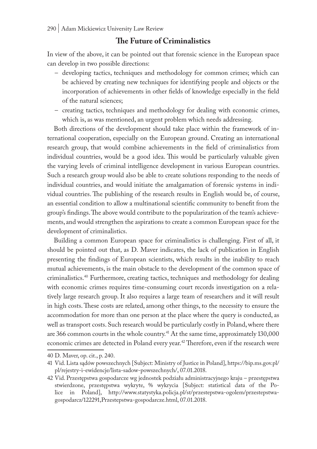# **The Future of Criminalistics**

In view of the above, it can be pointed out that forensic science in the European space can develop in two possible directions:

- developing tactics, techniques and methodology for common crimes; which can be achieved by creating new techniques for identifying people and objects or the incorporation of achievements in other fields of knowledge especially in the field of the natural sciences;
- creating tactics, techniques and methodology for dealing with economic crimes, which is, as was mentioned, an urgent problem which needs addressing.

Both directions of the development should take place within the framework of international cooperation, especially on the European ground. Creating an international research group, that would combine achievements in the field of criminalistics from individual countries, would be a good idea. This would be particularly valuable given the varying levels of criminal intelligence development in various European countries. Such a research group would also be able to create solutions responding to the needs of individual countries, and would initiate the amalgamation of forensic systems in individual countries. The publishing of the research results in English would be, of course, an essential condition to allow a multinational scientific community to benefit from the group's findings. The above would contribute to the popularization of the team's achievements, and would strengthen the aspirations to create a common European space for the development of criminalistics.

Building a common European space for criminalistics is challenging. First of all, it should be pointed out that, as D. Maver indicates, the lack of publication in English presenting the findings of European scientists, which results in the inability to reach mutual achievements, is the main obstacle to the development of the common space of criminalistics.40 Furthermore, creating tactics, techniques and methodology for dealing with economic crimes requires time-consuming court records investigation on a relatively large research group. It also requires a large team of researchers and it will result in high costs. These costs are related, among other things, to the necessity to ensure the accommodation for more than one person at the place where the query is conducted, as well as transport costs. Such research would be particularly costly in Poland, where there are 366 common courts in the whole country.<sup>41</sup> At the same time, approximately  $130,000$ economic crimes are detected in Poland every year.<sup>42</sup> Therefore, even if the research were

<sup>40</sup> D. Maver, op. cit., p. 240.

<sup>41</sup> Vid. Lista sądów powszechnych [Subject: Ministry of Justice in Poland], https://bip.ms.gov.pl/ pl/rejestry-i-ewidencje/lista-sadow-powszechnych/, 07.01.2018.

<sup>42</sup> Vid. Przestępstwa gospodarcze wg jednostek podziału administracyjnego kraju – przestępstwa stwierdzone, przestępstwa wykryte, % wykrycia [Subject: statistical data of the Police in Poland], http://www.statystyka.policja.pl/st/przestepstwa-ogolem/przestepstwagospodarcz/122291,Przestepstwa-gospodarcze.html, 07.01.2018.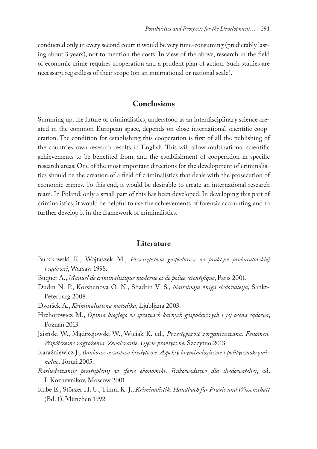conducted only in every second court it would be very time-consuming (predictably lasting about 3 years), not to mention the costs. In view of the above, research in the field of economic crime requires cooperation and a prudent plan of action. Such studies are necessary, regardless of their scope (on an international or national scale).

## **Conclusions**

Summing up, the future of criminalistics, understood as an interdisciplinary science created in the common European space, depends on close international scientific cooperation. The condition for establishing this cooperation is first of all the publishing of the countries' own research results in English. This will allow multinational scientific achievements to be benefited from, and the establishment of cooperation in specific research areas. One of the most important directions for the development of criminalistics should be the creation of a field of criminalistics that deals with the prosecution of economic crimes. To this end, it would be desirable to create an international research team. In Poland, only a small part of this has been developed. In developing this part of criminalistics, it would be helpful to use the achievements of forensic accounting and to further develop it in the framework of criminalistics.

### **Literature**

- Buczkowski K., Wojtaszek M., *Przestępstwa gospodarcze w praktyce prokuratorskiej i sądowej*, Warsaw 1998.
- Buquet A., *Manuel de criminalistique moderne et de police scientifique*, Paris 2001.
- Dudin N. P., Korshunova O. N., Shadrin V. S., *Nastolnaja kniga sledovatelja*, Sankt-Peterburg 2008.
- Dvoršek A., *Kriminalistična metodika*, Ljubljana 2003.
- Hrehorowicz M., *Opinia biegłego w sprawach karnych gospodarczych i jej ocena sądowa*, Poznań 2013.
- Jaisński W., Mądrzejowski W., Wiciak K. ed., *Przestępczość zorganizowana. Fenomen. Współczesne zagrożenia. Zwalczanie. Ujęcie praktyczne*, Szczytno 2013.
- Karaźniewicz J., *Bankowe oszustwo kredytowe. Aspekty kryminologiczne i politycznokryminalne*, Toruń 2005.
- *Rasliedowanije prestuplenij w sferie ekonomiki*. *Rukowodstwo dla sliedowateliej*, ed. I. Kozhevnikov, Moscow 2001.
- Kube E., Störzer H. U., Timm K. J., *Kriminalistik: Handbuch für Praxis und Wissenschaft*  (Bd. 1), München 1992.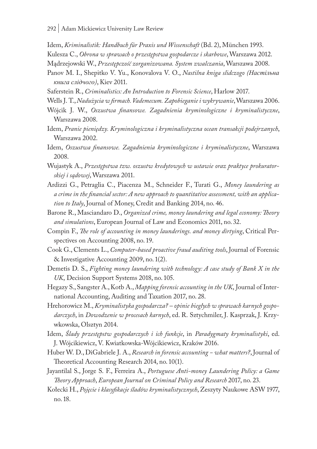Idem, *Kriminalistik: Handbuch für Praxis und Wissenschaft* (Bd. 2), München 1993.

Kulesza C., *Obrona w sprawach o przestępstwa gospodarcze i skarbowe*, Warszawa 2012.

Mądrzejowski W., *Przestępczość zorganizowana. System zwalczania*, Warszawa 2008.

- Panov M. I., Shepitko V. Yu., Konovalova V. O., *Nastilna kniga slidczogo (Настільна книга слідчого)*, Kiev 2011.
- Saferstein R., *Criminalistics: An Introduction to Forensic Science*, Harlow 2017.
- Wells J. T., *Nadużycia w firmach. Vademecum. Zapobieganie i wykrywanie*, Warszawa 2006.
- Wójcik J. W., *Oszustwa finansowe. Zagadnienia kryminologiczne i kryminalistyczne*, Warszawa 2008.
- Idem, *Pranie pieniędzy. Kryminologiczna i kryminalistyczna ocean transakcji podejrzanych*, Warszawa 2002.
- Idem, *Oszustwa finansowe. Zagadnienia kryminologiczne i kryminalistyczne*, Warszawa 2008.
- Wujastyk A., *Przestępstwa tzw. oszustw kredytowych w ustawie oraz praktyce prokuratorskiej i sądowej*, Warszawa 2011.
- Ardizzi G., Petraglia C., Piacenza M., Schneider F., Turati G., *Money laundering as a crime in the financial sector: A new approach to quantitative assessment, with an application to Italy*, Journal of Money, Credit and Banking 2014, no. 46.
- Barone R., Masciandaro D., *Organized crime, money laundering and legal economy: Theory and simulations*, European Journal of Law and Economics 2011, no. 32.
- Compin F., *The role of accounting in money launderings. and money dirtying*, Critical Perspectives on Accounting 2008, no. 19.
- Cook G., Clements L., *Computer-based proactive fraud auditing tools*, Journal of Forensic & Investigative Accounting 2009, no. 1(2).
- Demetis D. S., *Fighting money laundering with technology: A case study of Bank X in the UK*, Decision Support Systems 2018, no. 105.
- Hegazy S., Sangster A., Kotb A., *Mapping forensic accounting in the UK*, Journal of International Accounting, Auditing and Taxation 2017, no. 28.
- Hrehorowicz M., *Kryminalistyka gospodarcza? opinie biegłych w sprawach karnych gospodarczych*, in *Dowodzenie w procesach karnych*, ed. R. Sztychmiler, J. Kasprzak, J. Krzywkowska, Olsztyn 2014.
- Idem, *Ślady przestępstw gospodarczych i ich funkcje*, in *Paradygmaty kryminalistyki*, ed. J. Wójcikiewicz, V. Kwiatkowska-Wójcikiewicz, Kraków 2016.
- Huber W. D., DiGabriele J. A., *Research in forensic accounting − what matters?*, Journal of Theoretical Accounting Research 2014, no. 10(1).
- Jayantilal S., Jorge S. F., Ferreira A., *Portuguese Anti-money Laundering Policy: a Game Theory Approach*, *European Journal on Criminal Policy and Research* 2017, no. 23.
- Kołecki H., *Pojęcie i klasyfikacje śladów kryminalistycznych*, Zeszyty Naukowe ASW 1977, no. 18.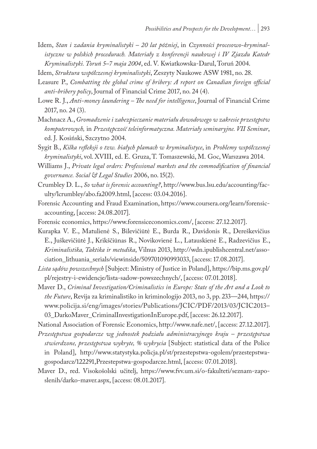- Idem, *Stan i zadania kryminalistyki 20 lat później*, in *Czynności procesowo-kryminalistyczne w polskich procedurach. Materiały z konferencji naukowej i IV Zjazdu Katedr Kryminalistyki. Toruń 5–7 maja 2004*, ed. V. Kwiatkowska-Darul, Toruń 2004.
- Idem, *Struktura współczesnej kryminalistyki*, Zeszyty Naukowe ASW 1981, no. 28.
- Leasure P., *Combatting the global crime of bribery: A report on Canadian foreign official anti-bribery policy*, Journal of Financial Crime 2017, no. 24 (4).
- Lowe R. J., *Anti-money laundering The need for intelligence*, Journal of Financial Crime 2017, no. 24 (3).
- Machnacz A., *Gromadzenie i zabezpieczanie materiału dowodowego w zakresie przestępstw komputerowych,* in *Przestępczość teleinformatyczna. Materiały seminaryjne. VII Seminar*, ed. J. Kosiński, Szczytno 2004.
- Sygit B., *Kilka refleksji o tzw. białych plamach w kryminalistyce*, in *Problemy współczesnej kryminalistyki*, vol. XVIII, ed. E. Gruza, T. Tomaszewski, M. Goc, Warszawa 2014.
- Williams J., *Private legal orders: Professional markets and the commodification of financial governance. Social & Legal Studies* 2006, no. 15(2).
- Crumbley D. L., *So what is forensic accounting?*, http://www.bus.lsu.edu/accounting/faculty/lcrumbley/abo.fa2009.html, [access: 03.04.2016].
- Forensic Accounting and Fraud Examination, https://www.coursera.org/learn/forensicaccounting, [access: 24.08.2017].
- Forensic economics, https://www.forensiceconomics.com/, [access: 27.12.2017].
- Kurapka V. E., Matulienė S., Bilevičiūtė E., Burda R., Davidonis R., Dereškevičius E., Juškevičiūtė J., Krikščiūnas R., Novikovienė L., Latauskienė E., Radzevičius E., *Kriminalistika, Taktika ir metodika*, Vilnus 2013, http://wdn.ipublishcentral.net/association\_lithuania\_serials/viewinside/509701090993033, [access: 17.08.2017].
- *Lista sądów powszechnych* [Subject: Ministry of Justice in Poland], https://bip.ms.gov.pl/ pl/rejestry-i-ewidencje/lista-sadow-powszechnych/, [access: 07.01.2018].
- Maver D., *Criminal Investigation/Criminalistics in Europe: State of the Art and a Look to the Future*, Revija za kriminalistiko in kriminologijo 2013, no 3, pp. 233—244, https:// www.policija.si/eng/images/stories/Publications/JCIC/PDF/2013/03/JCIC2013– 03\_DarkoMaver\_CriminalInvestigationInEurope.pdf, [access: 26.12.2017].

National Association of Forensic Economics, http://www.nafe.net/, [access: 27.12.2017]. *Przestępstwa gospodarcze wg jednostek podziału administracyjnego kraju – przestępstwa stwierdzone, przestępstwa wykryte, % wykrycia* [Subject: statistical data of the Police in Poland], http://www.statystyka.policja.pl/st/przestepstwa-ogolem/przestepstwagospodarcz/122291,Przestepstwa-gospodarcze.html, [access: 07.01.2018].

Maver D., red. Visokošolski učitelj, https://www.fvv.um.si/o-fakulteti/seznam-zaposlenih/darko-maver.aspx, [access: 08.01.2017].